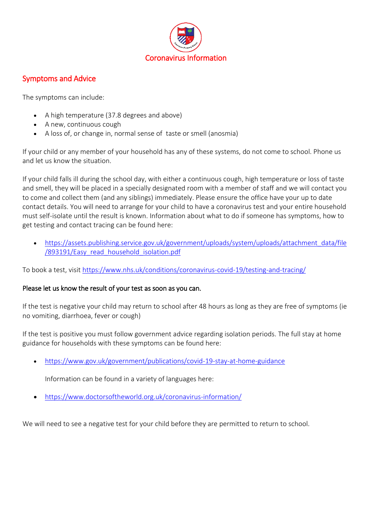

## Symptoms and Advice

The symptoms can include:

- A high temperature (37.8 degrees and above)
- A new, continuous cough
- A loss of, or change in, normal sense of taste or smell (anosmia)

If your child or any member of your household has any of these systems, do not come to school. Phone us and let us know the situation.

If your child falls ill during the school day, with either a continuous cough, high temperature or loss of taste and smell, they will be placed in a specially designated room with a member of staff and we will contact you to come and collect them (and any siblings) immediately. Please ensure the office have your up to date contact details. You will need to arrange for your child to have a coronavirus test and your entire household must self-isolate until the result is known. Information about what to do if someone has symptoms, how to get testing and contact tracing can be found here:

• [https://assets.publishing.service.gov.uk/government/uploads/system/uploads/attachment\\_data/file](https://assets.publishing.service.gov.uk/government/uploads/system/uploads/attachment_data/file/893191/Easy_read_household_isolation.pdf) [/893191/Easy\\_read\\_household\\_isolation.pdf](https://assets.publishing.service.gov.uk/government/uploads/system/uploads/attachment_data/file/893191/Easy_read_household_isolation.pdf)

To book a test, visit <https://www.nhs.uk/conditions/coronavirus-covid-19/testing-and-tracing/>

#### Please let us know the result of your test as soon as you can.

If the test is negative your child may return to school after 48 hours as long as they are free of symptoms (ie no vomiting, diarrhoea, fever or cough)

If the test is positive you must follow government advice regarding isolation periods. The full stay at home guidance for households with these symptoms can be found here:

[https://www.gov.uk/government/publications/covid-19-stay-at-home-guidance](https://lnks.gd/l/eyJhbGciOiJIUzI1NiJ9.eyJidWxsZXRpbl9saW5rX2lkIjoxMDMsInVyaSI6ImJwMjpjbGljayIsImJ1bGxldGluX2lkIjoiMjAyMDAzMTcuMTg4NzI4MzEiLCJ1cmwiOiJodHRwczovL3d3dy5nb3YudWsvZ292ZXJubWVudC9wdWJsaWNhdGlvbnMvY292aWQtMTktc3RheS1hdC1ob21lLWd1aWRhbmNlP3V0bV9tZWRpdW09ZW1haWwmdXRtX3NvdXJjZT1nb3ZkZWxpdmVyeSJ9.Z70hZ10Q-Ofx44MfydFKrp20OI7xMh_kFsB1W1N54z8/br/76224121965-l)

Information can be found in a variety of languages here:

<https://www.doctorsoftheworld.org.uk/coronavirus-information/>

We will need to see a negative test for your child before they are permitted to return to school.